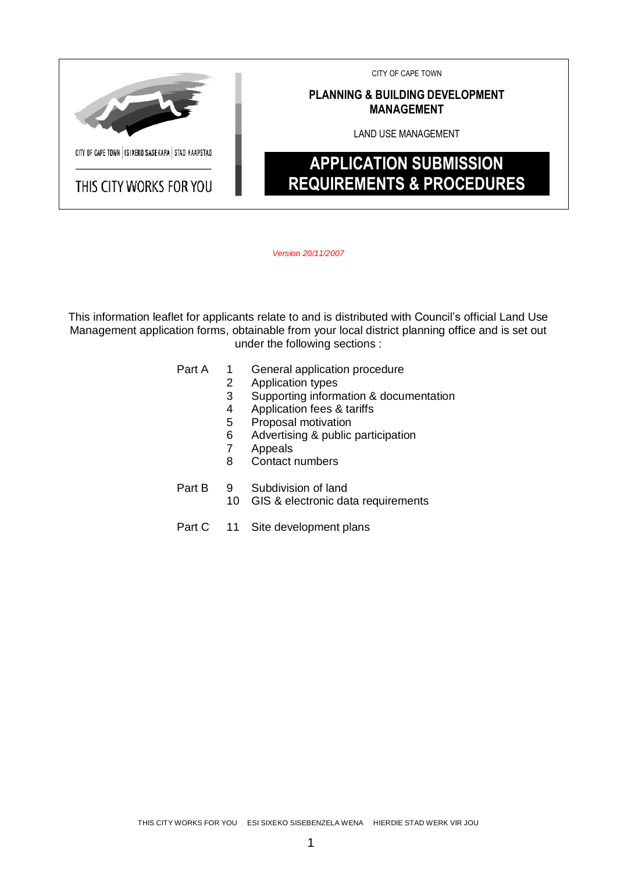

*Version 20/11/2007*

This information leaflet for applicants relate to and is distributed with Council's official Land Use Management application forms, obtainable from your local district planning office and is set out under the following sections :

Part A 1 General application procedure

- 2 Application types
- 3 Supporting information & documentation<br>4 Application fees & tariffs
- 4 Application fees & tariffs<br>5 Proposal motivation
- Proposal motivation
- 6 Advertising & public participation
- 7 Appeals
- 8 Contact numbers
- Part B 9 Subdivision of land
	- 10 GIS & electronic data requirements
- Part C 11 Site development plans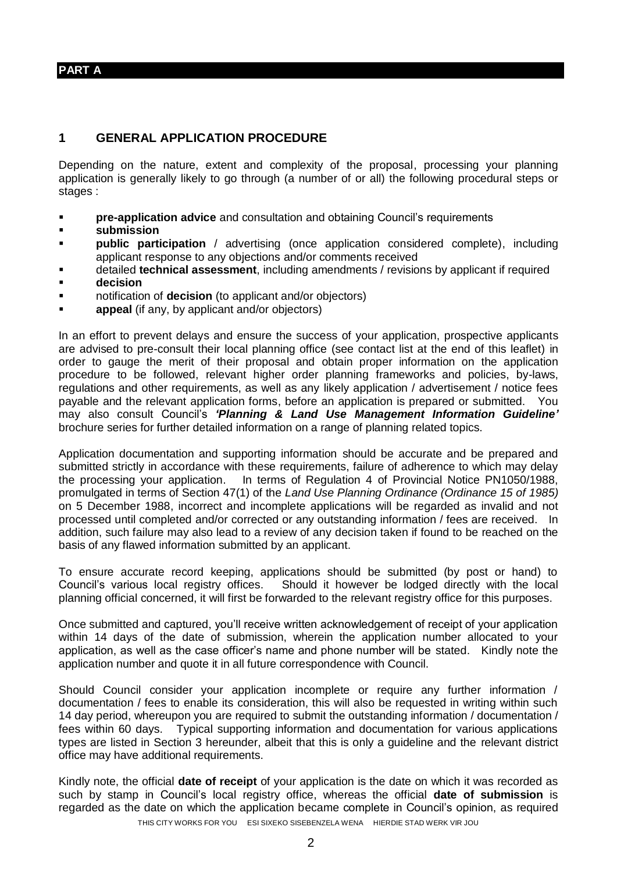**PART A**

#### **1 GENERAL APPLICATION PROCEDURE**

Depending on the nature, extent and complexity of the proposal, processing your planning application is generally likely to go through (a number of or all) the following procedural steps or stages :

- **Pre-application advice** and consultation and obtaining Council's requirements
- **submission**
- **Public participation** / advertising (once application considered complete), including applicant response to any objections and/or comments received
- detailed **technical assessment**, including amendments / revisions by applicant if required **decision**
- notification of **decision** (to applicant and/or objectors)
- **appeal** (if any, by applicant and/or objectors)

In an effort to prevent delays and ensure the success of your application, prospective applicants are advised to pre-consult their local planning office (see contact list at the end of this leaflet) in order to gauge the merit of their proposal and obtain proper information on the application procedure to be followed, relevant higher order planning frameworks and policies, by-laws, regulations and other requirements, as well as any likely application / advertisement / notice fees payable and the relevant application forms, before an application is prepared or submitted. You may also consult Council's *'Planning & Land Use Management Information Guideline'* brochure series for further detailed information on a range of planning related topics.

Application documentation and supporting information should be accurate and be prepared and submitted strictly in accordance with these requirements, failure of adherence to which may delay the processing your application. In terms of Regulation 4 of Provincial Notice PN1050/1988, promulgated in terms of Section 47(1) of the *Land Use Planning Ordinance (Ordinance 15 of 1985)* on 5 December 1988, incorrect and incomplete applications will be regarded as invalid and not processed until completed and/or corrected or any outstanding information / fees are received. In addition, such failure may also lead to a review of any decision taken if found to be reached on the basis of any flawed information submitted by an applicant.

To ensure accurate record keeping, applications should be submitted (by post or hand) to Council's various local registry offices. Should it however be lodged directly with the local planning official concerned, it will first be forwarded to the relevant registry office for this purposes.

Once submitted and captured, you'll receive written acknowledgement of receipt of your application within 14 days of the date of submission, wherein the application number allocated to your application, as well as the case officer's name and phone number will be stated. Kindly note the application number and quote it in all future correspondence with Council.

Should Council consider your application incomplete or require any further information / documentation / fees to enable its consideration, this will also be requested in writing within such 14 day period, whereupon you are required to submit the outstanding information / documentation / fees within 60 days. Typical supporting information and documentation for various applications types are listed in Section 3 hereunder, albeit that this is only a guideline and the relevant district office may have additional requirements.

THIS CITY WORKS FOR YOU ESI SIXEKO SISEBENZELA WENA HIERDIE STAD WERK VIR JOU Kindly note, the official **date of receipt** of your application is the date on which it was recorded as such by stamp in Council's local registry office, whereas the official **date of submission** is regarded as the date on which the application became complete in Council's opinion, as required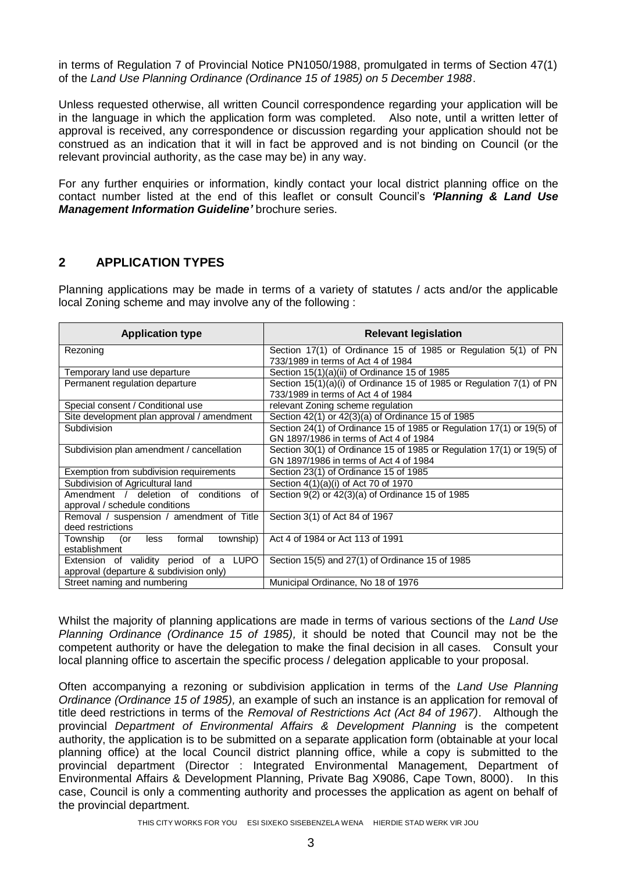in terms of Regulation 7 of Provincial Notice PN1050/1988, promulgated in terms of Section 47(1) of the *Land Use Planning Ordinance (Ordinance 15 of 1985) on 5 December 1988*.

Unless requested otherwise, all written Council correspondence regarding your application will be in the language in which the application form was completed. Also note, until a written letter of approval is received, any correspondence or discussion regarding your application should not be construed as an indication that it will in fact be approved and is not binding on Council (or the relevant provincial authority, as the case may be) in any way.

For any further enquiries or information, kindly contact your local district planning office on the contact number listed at the end of this leaflet or consult Council's *'Planning & Land Use Management Information Guideline'* brochure series.

### **2 APPLICATION TYPES**

Planning applications may be made in terms of a variety of statutes / acts and/or the applicable local Zoning scheme and may involve any of the following :

| <b>Application type</b>                        | <b>Relevant legislation</b>                                           |  |  |  |  |  |
|------------------------------------------------|-----------------------------------------------------------------------|--|--|--|--|--|
| Rezoning                                       | Section 17(1) of Ordinance 15 of 1985 or Regulation 5(1) of PN        |  |  |  |  |  |
|                                                | 733/1989 in terms of Act 4 of 1984                                    |  |  |  |  |  |
| Temporary land use departure                   | Section $15(1)(a)(ii)$ of Ordinance 15 of 1985                        |  |  |  |  |  |
| Permanent regulation departure                 | Section 15(1)(a)(i) of Ordinance 15 of 1985 or Regulation 7(1) of PN  |  |  |  |  |  |
|                                                | 733/1989 in terms of Act 4 of 1984                                    |  |  |  |  |  |
| Special consent / Conditional use              | relevant Zoning scheme regulation                                     |  |  |  |  |  |
| Site development plan approval / amendment     | Section 42(1) or 42(3)(a) of Ordinance 15 of 1985                     |  |  |  |  |  |
| Subdivision                                    | Section 24(1) of Ordinance 15 of 1985 or Regulation 17(1) or 19(5) of |  |  |  |  |  |
|                                                | GN 1897/1986 in terms of Act 4 of 1984                                |  |  |  |  |  |
| Subdivision plan amendment / cancellation      | Section 30(1) of Ordinance 15 of 1985 or Regulation 17(1) or 19(5) of |  |  |  |  |  |
|                                                | GN 1897/1986 in terms of Act 4 of 1984                                |  |  |  |  |  |
| Exemption from subdivision requirements        | Section 23(1) of Ordinance 15 of 1985                                 |  |  |  |  |  |
| Subdivision of Agricultural land               | Section 4(1)(a)(i) of Act 70 of 1970                                  |  |  |  |  |  |
| Amendment / deletion of conditions<br>0f       | Section 9(2) or 42(3)(a) of Ordinance 15 of 1985                      |  |  |  |  |  |
| approval / schedule conditions                 |                                                                       |  |  |  |  |  |
| Removal / suspension / amendment of Title      | Section 3(1) of Act 84 of 1967                                        |  |  |  |  |  |
| deed restrictions                              |                                                                       |  |  |  |  |  |
| Township<br>township)<br>formal<br>less<br>(or | Act 4 of 1984 or Act 113 of 1991                                      |  |  |  |  |  |
| establishment                                  |                                                                       |  |  |  |  |  |
| Extension of validity period of a LUPO         | Section 15(5) and 27(1) of Ordinance 15 of 1985                       |  |  |  |  |  |
| approval (departure & subdivision only)        |                                                                       |  |  |  |  |  |
| Street naming and numbering                    | Municipal Ordinance, No 18 of 1976                                    |  |  |  |  |  |

Whilst the majority of planning applications are made in terms of various sections of the *Land Use Planning Ordinance (Ordinance 15 of 1985),* it should be noted that Council may not be the competent authority or have the delegation to make the final decision in all cases. Consult your local planning office to ascertain the specific process / delegation applicable to your proposal.

Often accompanying a rezoning or subdivision application in terms of the *Land Use Planning Ordinance (Ordinance 15 of 1985),* an example of such an instance is an application for removal of title deed restrictions in terms of the *Removal of Restrictions Act (Act 84 of 1967)*. Although the provincial *Department of Environmental Affairs & Development Planning* is the competent authority, the application is to be submitted on a separate application form (obtainable at your local planning office) at the local Council district planning office, while a copy is submitted to the provincial department (Director : Integrated Environmental Management, Department of Environmental Affairs & Development Planning, Private Bag X9086, Cape Town, 8000). In this case, Council is only a commenting authority and processes the application as agent on behalf of the provincial department.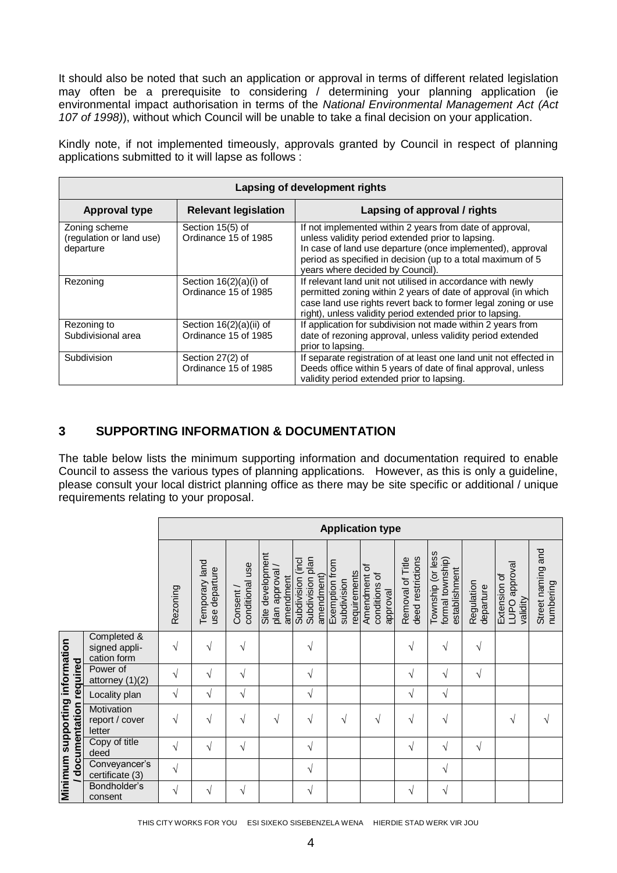It should also be noted that such an application or approval in terms of different related legislation may often be a prerequisite to considering / determining your planning application (ie environmental impact authorisation in terms of the *National Environmental Management Act (Act 107 of 1998)*), without which Council will be unable to take a final decision on your application.

Kindly note, if not implemented timeously, approvals granted by Council in respect of planning applications submitted to it will lapse as follows :

|                                                        | Lapsing of development rights                     |                                                                                                                                                                                                                                                                                |  |  |  |  |  |  |  |  |
|--------------------------------------------------------|---------------------------------------------------|--------------------------------------------------------------------------------------------------------------------------------------------------------------------------------------------------------------------------------------------------------------------------------|--|--|--|--|--|--|--|--|
| <b>Approval type</b>                                   | <b>Relevant legislation</b>                       | Lapsing of approval / rights                                                                                                                                                                                                                                                   |  |  |  |  |  |  |  |  |
| Zoning scheme<br>(regulation or land use)<br>departure | Section 15(5) of<br>Ordinance 15 of 1985          | If not implemented within 2 years from date of approval,<br>unless validity period extended prior to lapsing.<br>In case of land use departure (once implemented), approval<br>period as specified in decision (up to a total maximum of 5<br>years where decided by Council). |  |  |  |  |  |  |  |  |
| Rezoning                                               | Section $16(2)(a)(i)$ of<br>Ordinance 15 of 1985  | If relevant land unit not utilised in accordance with newly<br>permitted zoning within 2 years of date of approval (in which<br>case land use rights revert back to former legal zoning or use<br>right), unless validity period extended prior to lapsing.                    |  |  |  |  |  |  |  |  |
| Rezoning to<br>Subdivisional area                      | Section $16(2)(a)(ii)$ of<br>Ordinance 15 of 1985 | If application for subdivision not made within 2 years from<br>date of rezoning approval, unless validity period extended<br>prior to lapsing.                                                                                                                                 |  |  |  |  |  |  |  |  |
| Subdivision                                            | Section 27(2) of<br>Ordinance 15 of 1985          | If separate registration of at least one land unit not effected in<br>Deeds office within 5 years of date of final approval, unless<br>validity period extended prior to lapsing.                                                                                              |  |  |  |  |  |  |  |  |

# **3 SUPPORTING INFORMATION & DOCUMENTATION**

The table below lists the minimum supporting information and documentation required to enable Council to assess the various types of planning applications. However, as this is only a guideline, please consult your local district planning office as there may be site specific or additional / unique requirements relating to your proposal.

|                                                            |                                             | <b>Application type</b> |                                 |                             |                                                |                                                           |                                               |                                           |                                       |                                                        |                         |                                                     |                                |
|------------------------------------------------------------|---------------------------------------------|-------------------------|---------------------------------|-----------------------------|------------------------------------------------|-----------------------------------------------------------|-----------------------------------------------|-------------------------------------------|---------------------------------------|--------------------------------------------------------|-------------------------|-----------------------------------------------------|--------------------------------|
|                                                            |                                             | Rezoning                | Temporary land<br>use departure | conditional use<br>Consent/ | Site development<br>plan approval<br>amendment | plan<br>(incl<br>amendment)<br>Subdivision<br>Subdivision | Exemption from<br>requirements<br>subdivision | Amendment of<br>conditions of<br>approval | deed restrictions<br>Removal of Title | Township (or less<br>formal township)<br>establishment | Regulation<br>departure | levoldde<br>Extension of<br>validity<br><b>Dann</b> | Street naming and<br>numbering |
|                                                            | Completed &<br>signed appli-<br>cation form |                         |                                 |                             |                                                |                                                           |                                               |                                           | V                                     | $\sqrt{ }$                                             | $\mathcal{N}$           |                                                     |                                |
|                                                            | Power of<br>attorney $(1)(2)$               | V                       | V                               | V                           |                                                | V                                                         |                                               |                                           | V                                     | $\sqrt{ }$                                             | $\sqrt{ }$              |                                                     |                                |
|                                                            | Locality plan                               | V                       | V                               | V                           |                                                | V                                                         |                                               |                                           | V                                     | $\sqrt{ }$                                             |                         |                                                     |                                |
| Minimum supporting information<br>/ documentation required | Motivation<br>report / cover<br>letter      | V                       | V                               | V                           | V                                              | V                                                         | V                                             | V                                         | V                                     | V                                                      |                         | V                                                   | V                              |
|                                                            | Copy of title<br>deed                       | V                       | V                               | V                           |                                                | V                                                         |                                               |                                           | V                                     | V                                                      | $\sqrt{ }$              |                                                     |                                |
|                                                            | Conveyancer's<br>certificate (3)            | V                       |                                 |                             |                                                | V                                                         |                                               |                                           |                                       | $\sqrt{ }$                                             |                         |                                                     |                                |
|                                                            | Bondholder's<br>consent                     | V                       | V                               | V                           |                                                | V                                                         |                                               |                                           | V                                     | $\sqrt{ }$                                             |                         |                                                     |                                |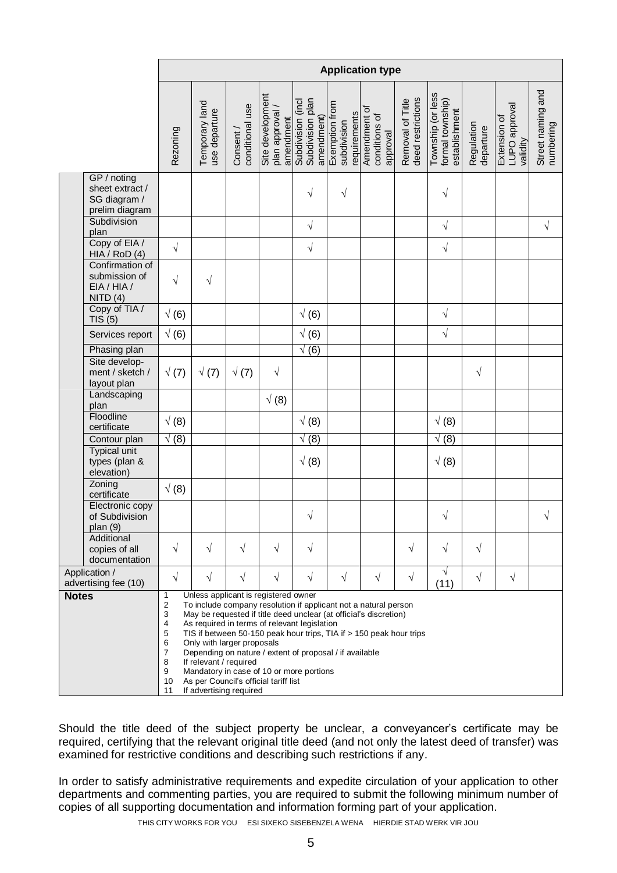|                                                                  |                                                                    |                                                                                                                                                                                                                                                                                                                         |                             |                                                 |                                                     |                                               | <b>Application type</b>                                                                                                                                                                                     |                                       |                                                        |                         |                                                  |                                |
|------------------------------------------------------------------|--------------------------------------------------------------------|-------------------------------------------------------------------------------------------------------------------------------------------------------------------------------------------------------------------------------------------------------------------------------------------------------------------------|-----------------------------|-------------------------------------------------|-----------------------------------------------------|-----------------------------------------------|-------------------------------------------------------------------------------------------------------------------------------------------------------------------------------------------------------------|---------------------------------------|--------------------------------------------------------|-------------------------|--------------------------------------------------|--------------------------------|
|                                                                  | Rezoning                                                           | Temporary land<br>use departure                                                                                                                                                                                                                                                                                         | conditional use<br>Consent/ | Site development<br>plan approval/<br>amendment | Subdivision plan<br>Subdivision (incl<br>amendment) | Exemption from<br>requirements<br>subdivision | Amendment of<br>conditions of<br>approval                                                                                                                                                                   | deed restrictions<br>Removal of Title | Township (or less<br>formal township)<br>establishment | Regulation<br>departure | <b>FNDO</b> approval<br>Extension of<br>validity | Street naming and<br>numbering |
| GP / noting<br>sheet extract /<br>SG diagram /<br>prelim diagram |                                                                    |                                                                                                                                                                                                                                                                                                                         |                             |                                                 | $\sqrt{}$                                           | $\sqrt{}$                                     |                                                                                                                                                                                                             |                                       | $\sqrt{2}$                                             |                         |                                                  |                                |
| Subdivision<br>plan                                              |                                                                    |                                                                                                                                                                                                                                                                                                                         |                             |                                                 | $\sqrt{}$                                           |                                               |                                                                                                                                                                                                             |                                       | $\sqrt{ }$                                             |                         |                                                  | $\sqrt{}$                      |
| Copy of EIA /<br>HIA / RoD (4)                                   | $\sqrt{}$                                                          |                                                                                                                                                                                                                                                                                                                         |                             |                                                 | $\sqrt{ }$                                          |                                               |                                                                                                                                                                                                             |                                       | $\sqrt{ }$                                             |                         |                                                  |                                |
| Confirmation of<br>submission of<br>EIA / HIA /<br>NITO(4)       | $\sqrt{}$                                                          | $\sqrt{}$                                                                                                                                                                                                                                                                                                               |                             |                                                 |                                                     |                                               |                                                                                                                                                                                                             |                                       |                                                        |                         |                                                  |                                |
| Copy of TIA /<br>TIS(5)                                          | $\sqrt(6)$                                                         |                                                                                                                                                                                                                                                                                                                         |                             |                                                 | $\sqrt(6)$                                          |                                               |                                                                                                                                                                                                             |                                       | $\sqrt{}$                                              |                         |                                                  |                                |
| Services report                                                  | $\sqrt(6)$                                                         |                                                                                                                                                                                                                                                                                                                         |                             |                                                 | $\sqrt(6)$                                          |                                               |                                                                                                                                                                                                             |                                       | $\sqrt{}$                                              |                         |                                                  |                                |
| Phasing plan                                                     |                                                                    |                                                                                                                                                                                                                                                                                                                         |                             |                                                 | $\sqrt(6)$                                          |                                               |                                                                                                                                                                                                             |                                       |                                                        |                         |                                                  |                                |
| Site develop-<br>ment / sketch /<br>layout plan                  | $\sqrt(7)$                                                         | $\sqrt(7)$                                                                                                                                                                                                                                                                                                              | $\sqrt(7)$                  | $\sqrt{ }$                                      |                                                     |                                               |                                                                                                                                                                                                             |                                       |                                                        | $\sqrt{}$               |                                                  |                                |
| Landscaping<br>plan                                              |                                                                    |                                                                                                                                                                                                                                                                                                                         |                             | $\sqrt(8)$                                      |                                                     |                                               |                                                                                                                                                                                                             |                                       |                                                        |                         |                                                  |                                |
| Floodline<br>certificate                                         | $\sqrt(8)$                                                         |                                                                                                                                                                                                                                                                                                                         |                             |                                                 | $\sqrt(8)$                                          |                                               |                                                                                                                                                                                                             |                                       | $\sqrt(8)$                                             |                         |                                                  |                                |
| Contour plan                                                     | $\sqrt(8)$                                                         |                                                                                                                                                                                                                                                                                                                         |                             |                                                 | $\sqrt(8)$                                          |                                               |                                                                                                                                                                                                             |                                       | $\sqrt(8)$                                             |                         |                                                  |                                |
| <b>Typical unit</b><br>types (plan &<br>elevation)               |                                                                    |                                                                                                                                                                                                                                                                                                                         |                             |                                                 | $\sqrt(8)$                                          |                                               |                                                                                                                                                                                                             |                                       | $\sqrt(8)$                                             |                         |                                                  |                                |
| Zoning<br>certificate                                            | $\sqrt(8)$                                                         |                                                                                                                                                                                                                                                                                                                         |                             |                                                 |                                                     |                                               |                                                                                                                                                                                                             |                                       |                                                        |                         |                                                  |                                |
| Electronic copy<br>of Subdivision<br>plan (9)                    |                                                                    |                                                                                                                                                                                                                                                                                                                         |                             |                                                 | $\sqrt{}$                                           |                                               |                                                                                                                                                                                                             |                                       | $\sqrt{}$                                              |                         |                                                  | $\sqrt{}$                      |
| Additional<br>copies of all<br>documentation                     | $\sqrt{}$                                                          | $\sqrt{}$                                                                                                                                                                                                                                                                                                               | $\sqrt{}$                   | $\sqrt{}$                                       | $\sqrt{}$                                           |                                               |                                                                                                                                                                                                             | $\sqrt{}$                             | $\sqrt{}$                                              | $\sqrt{ }$              |                                                  |                                |
| Application /<br>advertising fee (10)                            | $\sqrt{}$                                                          | $\sqrt{}$                                                                                                                                                                                                                                                                                                               | $\sqrt{}$                   | V                                               | $\sqrt{}$                                           | $\sqrt{}$                                     | $\sqrt{}$                                                                                                                                                                                                   | V                                     | $\sqrt{}$<br>(11)                                      | $\sqrt{}$               | $\sqrt{}$                                        |                                |
| <b>Notes</b>                                                     | 1<br>2<br>3<br>4<br>5<br>6<br>$\overline{7}$<br>8<br>9<br>10<br>11 | Unless applicant is registered owner<br>As required in terms of relevant legislation<br>Only with larger proposals<br>Depending on nature / extent of proposal / if available<br>If relevant / required<br>Mandatory in case of 10 or more portions<br>As per Council's official tariff list<br>If advertising required |                             |                                                 |                                                     |                                               | To include company resolution if applicant not a natural person<br>May be requested if title deed unclear (at official's discretion)<br>TIS if between 50-150 peak hour trips, TIA if > 150 peak hour trips |                                       |                                                        |                         |                                                  |                                |

Should the title deed of the subject property be unclear, a conveyancer's certificate may be required, certifying that the relevant original title deed (and not only the latest deed of transfer) was examined for restrictive conditions and describing such restrictions if any.

In order to satisfy administrative requirements and expedite circulation of your application to other departments and commenting parties, you are required to submit the following minimum number of copies of all supporting documentation and information forming part of your application.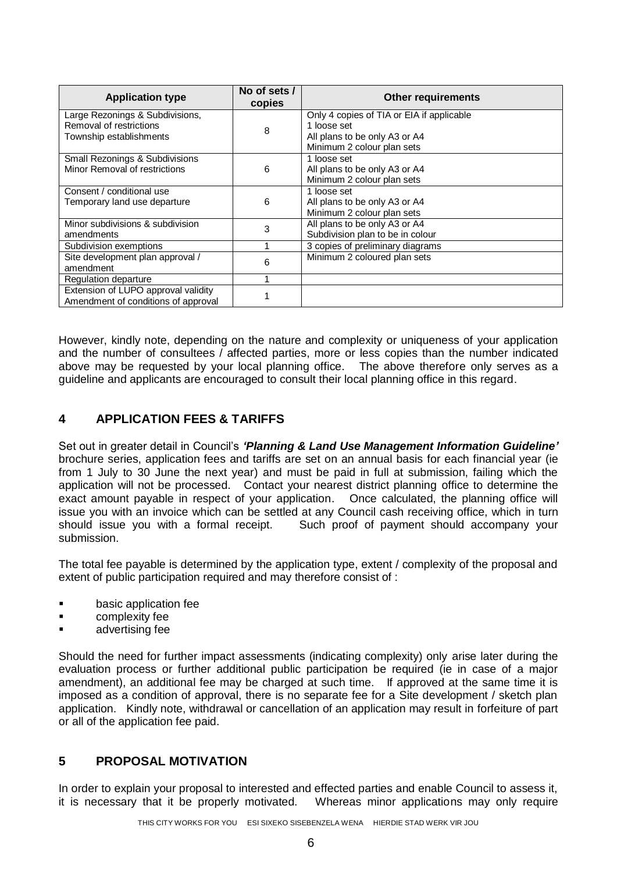| <b>Application type</b>                   | No of sets /<br>copies | <b>Other requirements</b>                 |
|-------------------------------------------|------------------------|-------------------------------------------|
| Large Rezonings & Subdivisions,           |                        | Only 4 copies of TIA or EIA if applicable |
| Removal of restrictions                   | 8                      | 1 loose set                               |
| Township establishments                   |                        | All plans to be only A3 or A4             |
|                                           |                        | Minimum 2 colour plan sets                |
| <b>Small Rezonings &amp; Subdivisions</b> |                        | 1 loose set                               |
| Minor Removal of restrictions             | 6                      | All plans to be only A3 or A4             |
|                                           |                        | Minimum 2 colour plan sets                |
| Consent / conditional use                 |                        | 1 loose set                               |
| Temporary land use departure              | 6                      | All plans to be only A3 or A4             |
|                                           |                        | Minimum 2 colour plan sets                |
| Minor subdivisions & subdivision          | 3                      | All plans to be only A3 or A4             |
| amendments                                |                        | Subdivision plan to be in colour          |
| Subdivision exemptions                    |                        | 3 copies of preliminary diagrams          |
| Site development plan approval /          | 6                      | Minimum 2 coloured plan sets              |
| amendment                                 |                        |                                           |
| Regulation departure                      |                        |                                           |
| Extension of LUPO approval validity       |                        |                                           |
| Amendment of conditions of approval       |                        |                                           |

However, kindly note, depending on the nature and complexity or uniqueness of your application and the number of consultees / affected parties, more or less copies than the number indicated above may be requested by your local planning office. The above therefore only serves as a guideline and applicants are encouraged to consult their local planning office in this regard.

# **4 APPLICATION FEES & TARIFFS**

Set out in greater detail in Council's *'Planning & Land Use Management Information Guideline'* brochure series, application fees and tariffs are set on an annual basis for each financial year (ie from 1 July to 30 June the next year) and must be paid in full at submission, failing which the application will not be processed. Contact your nearest district planning office to determine the exact amount payable in respect of your application. Once calculated, the planning office will issue you with an invoice which can be settled at any Council cash receiving office, which in turn should issue you with a formal receipt. Such proof of payment should accompany your submission.

The total fee payable is determined by the application type, extent / complexity of the proposal and extent of public participation required and may therefore consist of :

- **Example 3** basic application fee
- **Exercise** complexity fee
- advertising fee

Should the need for further impact assessments (indicating complexity) only arise later during the evaluation process or further additional public participation be required (ie in case of a major amendment), an additional fee may be charged at such time. If approved at the same time it is imposed as a condition of approval, there is no separate fee for a Site development / sketch plan application. Kindly note, withdrawal or cancellation of an application may result in forfeiture of part or all of the application fee paid.

### **5 PROPOSAL MOTIVATION**

In order to explain your proposal to interested and effected parties and enable Council to assess it. it is necessary that it be properly motivated. Whereas minor applications may only require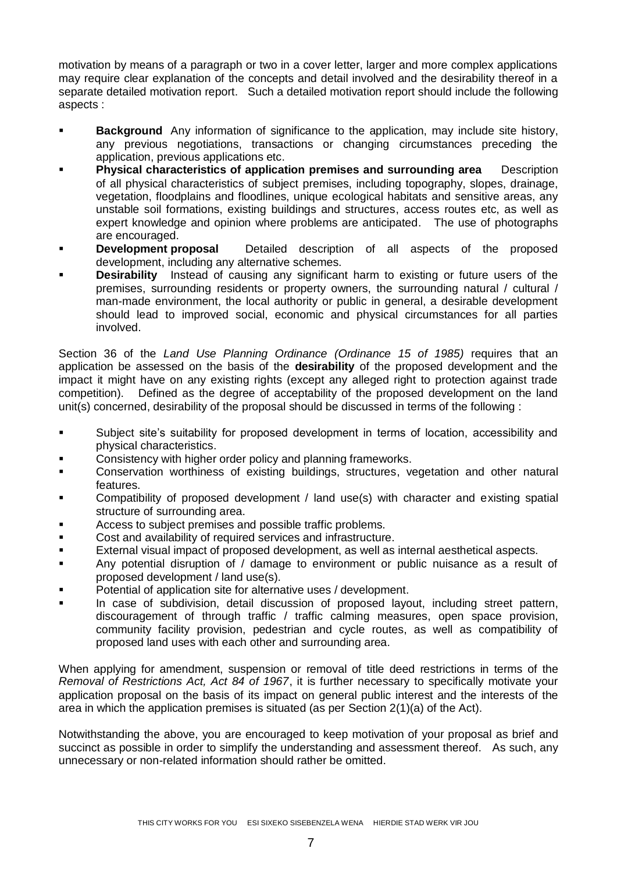motivation by means of a paragraph or two in a cover letter, larger and more complex applications may require clear explanation of the concepts and detail involved and the desirability thereof in a separate detailed motivation report. Such a detailed motivation report should include the following aspects :

- **Background** Any information of significance to the application, may include site history, any previous negotiations, transactions or changing circumstances preceding the application, previous applications etc.
- **Physical characteristics of application premises and surrounding area** Description of all physical characteristics of subject premises, including topography, slopes, drainage, vegetation, floodplains and floodlines, unique ecological habitats and sensitive areas, any unstable soil formations, existing buildings and structures, access routes etc, as well as expert knowledge and opinion where problems are anticipated. The use of photographs are encouraged.
- **Development proposal** Detailed description of all aspects of the proposed development, including any alternative schemes.
- **Desirability** Instead of causing any significant harm to existing or future users of the premises, surrounding residents or property owners, the surrounding natural / cultural / man-made environment, the local authority or public in general, a desirable development should lead to improved social, economic and physical circumstances for all parties involved.

Section 36 of the *Land Use Planning Ordinance (Ordinance 15 of 1985)* requires that an application be assessed on the basis of the **desirability** of the proposed development and the impact it might have on any existing rights (except any alleged right to protection against trade competition). Defined as the degree of acceptability of the proposed development on the land unit(s) concerned, desirability of the proposal should be discussed in terms of the following :

- Subject site's suitability for proposed development in terms of location, accessibility and physical characteristics.
- Consistency with higher order policy and planning frameworks.
- Conservation worthiness of existing buildings, structures, vegetation and other natural features.
- Compatibility of proposed development / land use(s) with character and existing spatial structure of surrounding area.
- Access to subject premises and possible traffic problems.
- **EXECOST** Cost and availability of required services and infrastructure.
- External visual impact of proposed development, as well as internal aesthetical aspects.
- Any potential disruption of / damage to environment or public nuisance as a result of proposed development / land use(s).
- Potential of application site for alternative uses / development.
- In case of subdivision, detail discussion of proposed layout, including street pattern, discouragement of through traffic / traffic calming measures, open space provision, community facility provision, pedestrian and cycle routes, as well as compatibility of proposed land uses with each other and surrounding area.

When applying for amendment, suspension or removal of title deed restrictions in terms of the *Removal of Restrictions Act, Act 84 of 1967*, it is further necessary to specifically motivate your application proposal on the basis of its impact on general public interest and the interests of the area in which the application premises is situated (as per Section 2(1)(a) of the Act).

Notwithstanding the above, you are encouraged to keep motivation of your proposal as brief and succinct as possible in order to simplify the understanding and assessment thereof. As such, any unnecessary or non-related information should rather be omitted.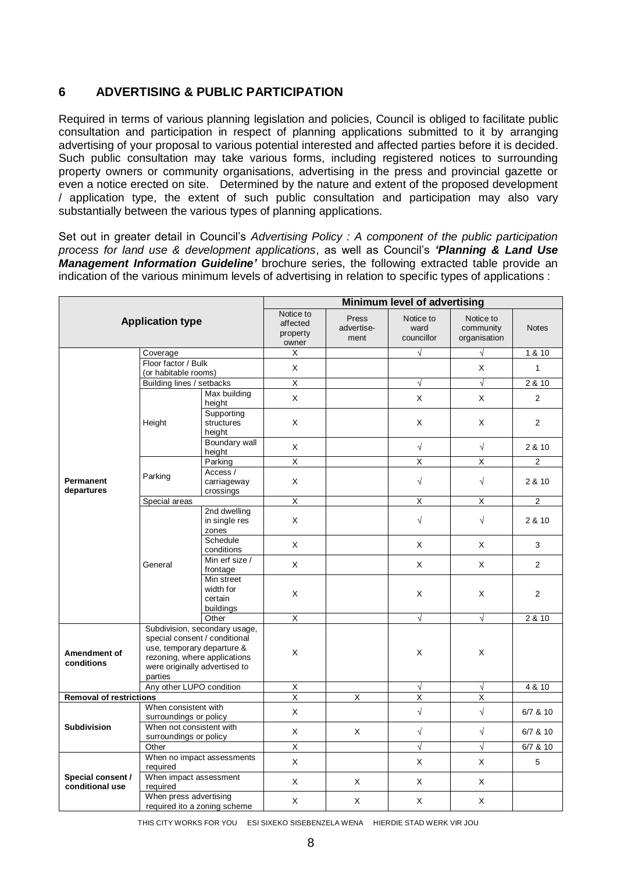### **6 ADVERTISING & PUBLIC PARTICIPATION**

Required in terms of various planning legislation and policies, Council is obliged to facilitate public consultation and participation in respect of planning applications submitted to it by arranging advertising of your proposal to various potential interested and affected parties before it is decided. Such public consultation may take various forms, including registered notices to surrounding property owners or community organisations, advertising in the press and provincial gazette or even a notice erected on site. Determined by the nature and extent of the proposed development / application type, the extent of such public consultation and participation may also vary substantially between the various types of planning applications.

Set out in greater detail in Council's *Advertising Policy : A component of the public participation process for land use & development applications*, as well as Council's *'Planning & Land Use Management Information Guideline'* brochure series, the following extracted table provide an indication of the various minimum levels of advertising in relation to specific types of applications :

|                                      |                                                                                                                                                                          |                                                 | Minimum level of advertising               |                             |                                 |                                        |                |  |  |
|--------------------------------------|--------------------------------------------------------------------------------------------------------------------------------------------------------------------------|-------------------------------------------------|--------------------------------------------|-----------------------------|---------------------------------|----------------------------------------|----------------|--|--|
|                                      | <b>Application type</b>                                                                                                                                                  |                                                 | Notice to<br>affected<br>property<br>owner | Press<br>advertise-<br>ment | Notice to<br>ward<br>councillor | Notice to<br>community<br>organisation | <b>Notes</b>   |  |  |
|                                      | Coverage                                                                                                                                                                 |                                                 | Х                                          |                             | $\sqrt{}$                       | $\sqrt{ }$                             | 1 & 10         |  |  |
|                                      | Floor factor / Bulk                                                                                                                                                      |                                                 | X                                          |                             |                                 | X                                      | $\mathbf{1}$   |  |  |
|                                      | (or habitable rooms)                                                                                                                                                     |                                                 |                                            |                             |                                 |                                        |                |  |  |
|                                      | Building lines / setbacks                                                                                                                                                |                                                 | $\overline{X}$                             |                             | $\sqrt{ }$                      | $\sqrt{2}$                             | 2 & 10         |  |  |
|                                      |                                                                                                                                                                          | Max building<br>height                          | $\mathsf{x}$                               |                             | X                               | $\mathsf{X}$                           | $\overline{2}$ |  |  |
|                                      | Height                                                                                                                                                                   | Supporting<br>structures<br>height              | X                                          |                             | X                               | X                                      | $\overline{2}$ |  |  |
|                                      |                                                                                                                                                                          | <b>Boundary wall</b><br>height                  | $\mathsf X$                                |                             | $\sqrt{ }$                      | $\sqrt{ }$                             | 2 & 10         |  |  |
|                                      |                                                                                                                                                                          | Parking                                         | $\overline{\mathsf{x}}$                    |                             | X                               | X                                      | $\overline{2}$ |  |  |
| <b>Permanent</b><br>departures       | Parking                                                                                                                                                                  | Access /<br>carriageway<br>crossings            | X                                          |                             | $\sqrt{ }$                      | $\sqrt{ }$                             | 2 & 10         |  |  |
|                                      | Special areas                                                                                                                                                            |                                                 | $\overline{\mathsf{x}}$                    |                             | $\overline{X}$                  | $\overline{X}$                         | $\overline{c}$ |  |  |
|                                      |                                                                                                                                                                          | 2nd dwelling                                    |                                            |                             |                                 |                                        |                |  |  |
|                                      |                                                                                                                                                                          | in single res<br>zones                          | X                                          |                             | $\sqrt{ }$                      | $\sqrt{ }$                             | 2 & 10         |  |  |
|                                      |                                                                                                                                                                          | Schedule<br>conditions                          | X                                          |                             | X                               | X                                      | 3              |  |  |
|                                      | General                                                                                                                                                                  | Min erf size /<br>frontage                      | X                                          |                             | X                               | X                                      | $\overline{2}$ |  |  |
|                                      |                                                                                                                                                                          | Min street<br>width for<br>certain<br>buildings | X                                          |                             | X                               | X                                      | 2              |  |  |
|                                      |                                                                                                                                                                          | Other                                           | X                                          |                             | $\sqrt{ }$                      | $\sqrt{ }$                             | 2 & 10         |  |  |
| Amendment of<br>conditions           | Subdivision, secondary usage,<br>special consent / conditional<br>use, temporary departure &<br>rezoning, where applications<br>were originally advertised to<br>parties |                                                 | X                                          |                             | X                               | X                                      |                |  |  |
|                                      | Any other LUPO condition                                                                                                                                                 |                                                 | $\overline{X}$                             |                             | $\sqrt{ }$                      | $\sqrt{ }$                             | 4 & 10         |  |  |
| <b>Removal of restrictions</b>       |                                                                                                                                                                          |                                                 | $\overline{\mathsf{x}}$                    | $\overline{X}$              | $\overline{\mathsf{x}}$         | $\overline{X}$                         |                |  |  |
|                                      | When consistent with<br>surroundings or policy                                                                                                                           |                                                 | X                                          |                             | $\sqrt{ }$                      | $\sqrt{ }$                             | $6/7$ & 10     |  |  |
| <b>Subdivision</b>                   | When not consistent with<br>surroundings or policy                                                                                                                       |                                                 | $\mathsf X$                                | X                           | $\sqrt{ }$                      | $\sqrt{ }$                             | $6/7$ & 10     |  |  |
|                                      | Other                                                                                                                                                                    |                                                 | $\overline{X}$                             |                             | $\sqrt{ }$                      | $\sqrt{ }$                             | 6/7 & 10       |  |  |
|                                      | required                                                                                                                                                                 | When no impact assessments                      | X                                          |                             | X                               | X                                      | 5              |  |  |
| Special consent /<br>conditional use | required                                                                                                                                                                 | When impact assessment                          | $\mathsf X$                                | X                           | $\mathsf X$                     | X                                      |                |  |  |
|                                      | When press advertising                                                                                                                                                   | required ito a zoning scheme                    | X                                          | X                           | $\mathsf X$                     | X                                      |                |  |  |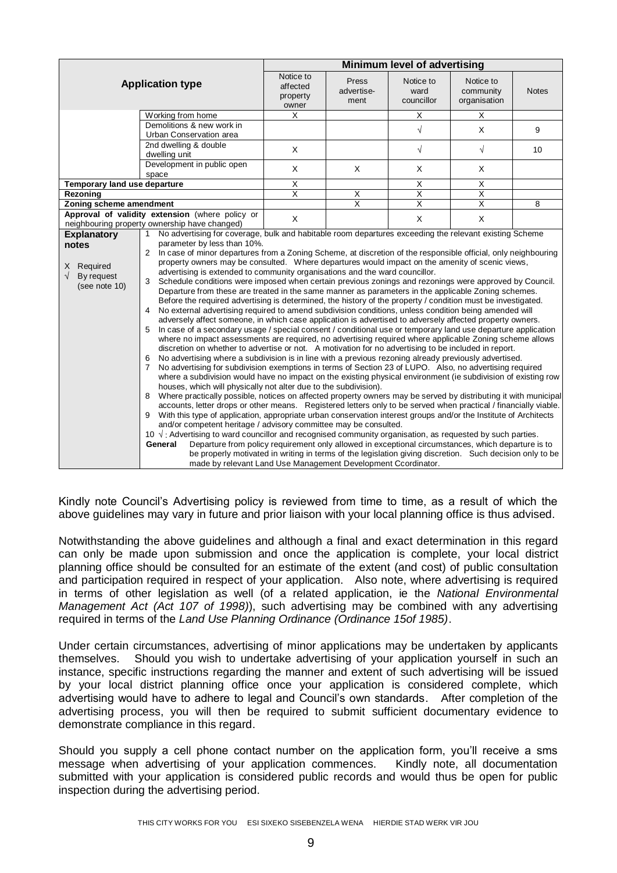|                              |                |                                                                                                                                                                                                                          | <b>Minimum level of advertising</b>                                                                              |                             |                                                                                                 |                                        |              |  |  |
|------------------------------|----------------|--------------------------------------------------------------------------------------------------------------------------------------------------------------------------------------------------------------------------|------------------------------------------------------------------------------------------------------------------|-----------------------------|-------------------------------------------------------------------------------------------------|----------------------------------------|--------------|--|--|
|                              |                | <b>Application type</b>                                                                                                                                                                                                  | Notice to<br>affected<br>property<br>owner                                                                       | Press<br>advertise-<br>ment | Notice to<br>ward<br>councillor                                                                 | Notice to<br>community<br>organisation | <b>Notes</b> |  |  |
|                              |                | Working from home                                                                                                                                                                                                        | $\overline{X}$                                                                                                   |                             | $\overline{\mathsf{x}}$                                                                         | $\overline{\mathsf{x}}$                |              |  |  |
|                              |                | Demolitions & new work in                                                                                                                                                                                                |                                                                                                                  |                             | $\sqrt{}$                                                                                       | X                                      | 9            |  |  |
|                              |                | Urban Conservation area                                                                                                                                                                                                  |                                                                                                                  |                             |                                                                                                 |                                        |              |  |  |
|                              |                | 2nd dwelling & double<br>dwelling unit                                                                                                                                                                                   | X                                                                                                                |                             | $\sqrt{}$                                                                                       | $\sqrt{ }$                             | 10           |  |  |
|                              |                | Development in public open<br>space                                                                                                                                                                                      | X                                                                                                                | X                           | X                                                                                               | X                                      |              |  |  |
| Temporary land use departure |                |                                                                                                                                                                                                                          | $\overline{X}$                                                                                                   |                             | $\overline{X}$                                                                                  | $\overline{X}$                         |              |  |  |
| Rezoning                     |                |                                                                                                                                                                                                                          | $\overline{\mathsf{x}}$                                                                                          | X                           | $\overline{\mathsf{x}}$                                                                         | $\overline{\mathsf{x}}$                |              |  |  |
| Zoning scheme amendment      |                |                                                                                                                                                                                                                          |                                                                                                                  | $\overline{\mathsf{x}}$     | $\overline{\mathsf{x}}$                                                                         | $\overline{\mathsf{x}}$                | 8            |  |  |
|                              |                | Approval of validity extension (where policy or<br>neighbouring property ownership have changed)                                                                                                                         | X                                                                                                                |                             | $\mathsf{X}$                                                                                    | $\mathsf{X}$                           |              |  |  |
| <b>Explanatory</b>           | 1              | No advertising for coverage, bulk and habitable room departures exceeding the relevant existing Scheme                                                                                                                   |                                                                                                                  |                             |                                                                                                 |                                        |              |  |  |
| notes                        |                | parameter by less than 10%.                                                                                                                                                                                              |                                                                                                                  |                             |                                                                                                 |                                        |              |  |  |
|                              |                |                                                                                                                                                                                                                          | 2 In case of minor departures from a Zoning Scheme, at discretion of the responsible official, only neighbouring |                             |                                                                                                 |                                        |              |  |  |
| X Required                   |                |                                                                                                                                                                                                                          |                                                                                                                  |                             | property owners may be consulted. Where departures would impact on the amenity of scenic views, |                                        |              |  |  |
| $\sqrt{ }$<br>By request     |                | advertising is extended to community organisations and the ward councillor.                                                                                                                                              |                                                                                                                  |                             |                                                                                                 |                                        |              |  |  |
| (see note 10)                |                | 3 Schedule conditions were imposed when certain previous zonings and rezonings were approved by Council.                                                                                                                 |                                                                                                                  |                             |                                                                                                 |                                        |              |  |  |
|                              |                | Departure from these are treated in the same manner as parameters in the applicable Zoning schemes.                                                                                                                      |                                                                                                                  |                             |                                                                                                 |                                        |              |  |  |
|                              |                | Before the required advertising is determined, the history of the property / condition must be investigated.                                                                                                             |                                                                                                                  |                             |                                                                                                 |                                        |              |  |  |
|                              | 4              | No external advertising required to amend subdivision conditions, unless condition being amended will                                                                                                                    |                                                                                                                  |                             |                                                                                                 |                                        |              |  |  |
|                              | 5              | adversely affect someone, in which case application is advertised to adversely affected property owners.<br>In case of a secondary usage / special consent / conditional use or temporary land use departure application |                                                                                                                  |                             |                                                                                                 |                                        |              |  |  |
|                              |                | where no impact assessments are required, no advertising required where applicable Zoning scheme allows                                                                                                                  |                                                                                                                  |                             |                                                                                                 |                                        |              |  |  |
|                              |                | discretion on whether to advertise or not. A motivation for no advertising to be included in report.                                                                                                                     |                                                                                                                  |                             |                                                                                                 |                                        |              |  |  |
|                              | 6              | No advertising where a subdivision is in line with a previous rezoning already previously advertised.                                                                                                                    |                                                                                                                  |                             |                                                                                                 |                                        |              |  |  |
|                              | $\overline{7}$ | No advertising for subdivision exemptions in terms of Section 23 of LUPO. Also, no advertising required                                                                                                                  |                                                                                                                  |                             |                                                                                                 |                                        |              |  |  |
|                              |                | where a subdivision would have no impact on the existing physical environment (ie subdivision of existing row                                                                                                            |                                                                                                                  |                             |                                                                                                 |                                        |              |  |  |
|                              |                | houses, which will physically not alter due to the subdivision).                                                                                                                                                         |                                                                                                                  |                             |                                                                                                 |                                        |              |  |  |
|                              | 8              | Where practically possible, notices on affected property owners may be served by distributing it with municipal                                                                                                          |                                                                                                                  |                             |                                                                                                 |                                        |              |  |  |
|                              |                | accounts, letter drops or other means. Registered letters only to be served when practical / financially viable.                                                                                                         |                                                                                                                  |                             |                                                                                                 |                                        |              |  |  |
|                              | 9              | With this type of application, appropriate urban conservation interest groups and/or the Institute of Architects                                                                                                         |                                                                                                                  |                             |                                                                                                 |                                        |              |  |  |
|                              |                | and/or competent heritage / advisory committee may be consulted.                                                                                                                                                         |                                                                                                                  |                             |                                                                                                 |                                        |              |  |  |
|                              |                | 10 $\sqrt{ }$ : Advertising to ward councillor and recognised community organisation, as requested by such parties.                                                                                                      |                                                                                                                  |                             |                                                                                                 |                                        |              |  |  |
|                              |                | Departure from policy requirement only allowed in exceptional circumstances, which departure is to<br>General                                                                                                            |                                                                                                                  |                             |                                                                                                 |                                        |              |  |  |
|                              |                | be properly motivated in writing in terms of the legislation giving discretion. Such decision only to be                                                                                                                 |                                                                                                                  |                             |                                                                                                 |                                        |              |  |  |
|                              |                | made by relevant Land Use Management Development Ccordinator.                                                                                                                                                            |                                                                                                                  |                             |                                                                                                 |                                        |              |  |  |

Kindly note Council's Advertising policy is reviewed from time to time, as a result of which the above guidelines may vary in future and prior liaison with your local planning office is thus advised.

Notwithstanding the above guidelines and although a final and exact determination in this regard can only be made upon submission and once the application is complete, your local district planning office should be consulted for an estimate of the extent (and cost) of public consultation and participation required in respect of your application. Also note, where advertising is required in terms of other legislation as well (of a related application, ie the *National Environmental Management Act (Act 107 of 1998)*), such advertising may be combined with any advertising required in terms of the *Land Use Planning Ordinance (Ordinance 15of 1985)*.

Under certain circumstances, advertising of minor applications may be undertaken by applicants themselves. Should you wish to undertake advertising of your application yourself in such an instance, specific instructions regarding the manner and extent of such advertising will be issued by your local district planning office once your application is considered complete, which advertising would have to adhere to legal and Council's own standards. After completion of the advertising process, you will then be required to submit sufficient documentary evidence to demonstrate compliance in this regard.

Should you supply a cell phone contact number on the application form, you'll receive a sms message when advertising of your application commences. Kindly note, all documentation submitted with your application is considered public records and would thus be open for public inspection during the advertising period.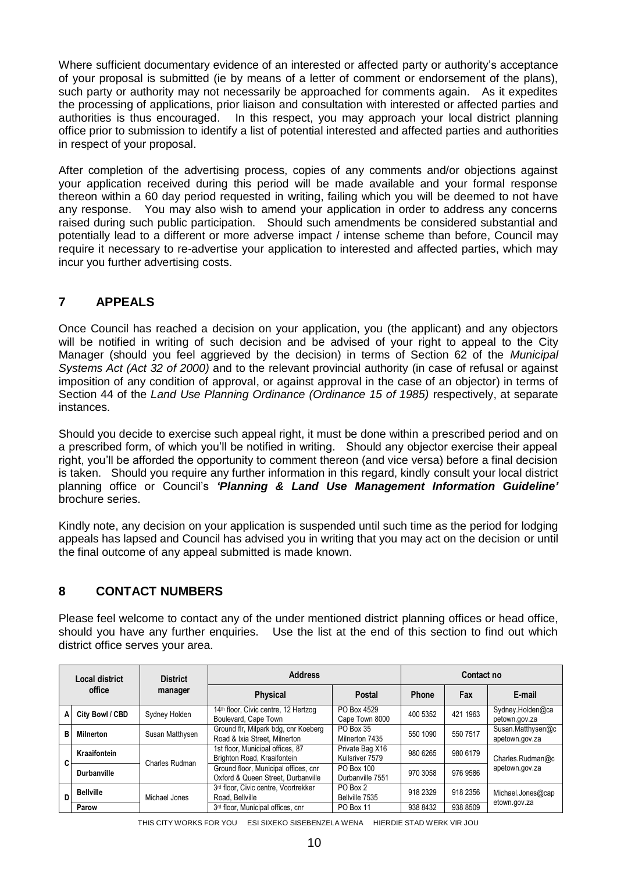Where sufficient documentary evidence of an interested or affected party or authority's acceptance of your proposal is submitted (ie by means of a letter of comment or endorsement of the plans), such party or authority may not necessarily be approached for comments again. As it expedites the processing of applications, prior liaison and consultation with interested or affected parties and authorities is thus encouraged. In this respect, you may approach your local district planning office prior to submission to identify a list of potential interested and affected parties and authorities in respect of your proposal.

After completion of the advertising process, copies of any comments and/or objections against your application received during this period will be made available and your formal response thereon within a 60 day period requested in writing, failing which you will be deemed to not have any response. You may also wish to amend your application in order to address any concerns raised during such public participation. Should such amendments be considered substantial and potentially lead to a different or more adverse impact / intense scheme than before, Council may require it necessary to re-advertise your application to interested and affected parties, which may incur you further advertising costs.

# **7 APPEALS**

Once Council has reached a decision on your application, you (the applicant) and any objectors will be notified in writing of such decision and be advised of your right to appeal to the City Manager (should you feel aggrieved by the decision) in terms of Section 62 of the *Municipal Systems Act (Act 32 of 2000)* and to the relevant provincial authority (in case of refusal or against imposition of any condition of approval, or against approval in the case of an objector) in terms of Section 44 of the *Land Use Planning Ordinance (Ordinance 15 of 1985)* respectively, at separate instances.

Should you decide to exercise such appeal right, it must be done within a prescribed period and on a prescribed form, of which you'll be notified in writing. Should any objector exercise their appeal right, you'll be afforded the opportunity to comment thereon (and vice versa) before a final decision is taken. Should you require any further information in this regard, kindly consult your local district planning office or Council's *'Planning & Land Use Management Information Guideline'* brochure series.

Kindly note, any decision on your application is suspended until such time as the period for lodging appeals has lapsed and Council has advised you in writing that you may act on the decision or until the final outcome of any appeal submitted is made known.

### **8 CONTACT NUMBERS**

Please feel welcome to contact any of the under mentioned district planning offices or head office, should you have any further enquiries. Use the list at the end of this section to find out which district office serves your area.

|        | Local district     | <b>District</b> | <b>Address</b>                                                             |                                    | Contact no |          |                                     |  |
|--------|--------------------|-----------------|----------------------------------------------------------------------------|------------------------------------|------------|----------|-------------------------------------|--|
| office |                    | manager         | <b>Physical</b>                                                            | Postal                             | Phone      | Fax      | E-mail                              |  |
| А      | City Bowl / CBD    | Sydney Holden   | 14th floor, Civic centre, 12 Hertzog<br>Boulevard, Cape Town               | PO Box 4529<br>Cape Town 8000      | 400 5352   | 421 1963 | Sydney.Holden@ca<br>petown.gov.za   |  |
| в      | <b>Milnerton</b>   | Susan Matthysen | Ground flr, Milpark bdg, cnr Koeberg<br>Road & Ixia Street, Milnerton      | PO Box 35<br>Milnerton 7435        | 550 1090   | 550 7517 | Susan.Matthysen@c<br>apetown.gov.za |  |
|        | Kraaifontein       | Charles Rudman  | 1st floor, Municipal offices, 87<br>Brighton Road, Kraaifontein            | Private Bag X16<br>Kuilsriver 7579 | 980 6265   | 980 6179 | Charles.Rudman@c                    |  |
|        | <b>Durbanville</b> |                 | Ground floor, Municipal offices, cnr<br>Oxford & Queen Street, Durbanville | PO Box 100<br>Durbanville 7551     | 970 3058   | 976 9586 | apetown.gov.za                      |  |
| D      | <b>Bellville</b>   | Michael Jones   | 3rd floor, Civic centre, Voortrekker<br>Road, Bellville                    | PO Box 2<br>Bellville 7535         | 918 2329   | 918 2356 | Michael.Jones@cap                   |  |
|        | Parow              |                 | 3rd floor, Municipal offices, cnr                                          | PO Box 11                          | 938 8432   | 938 8509 | etown.gov.za                        |  |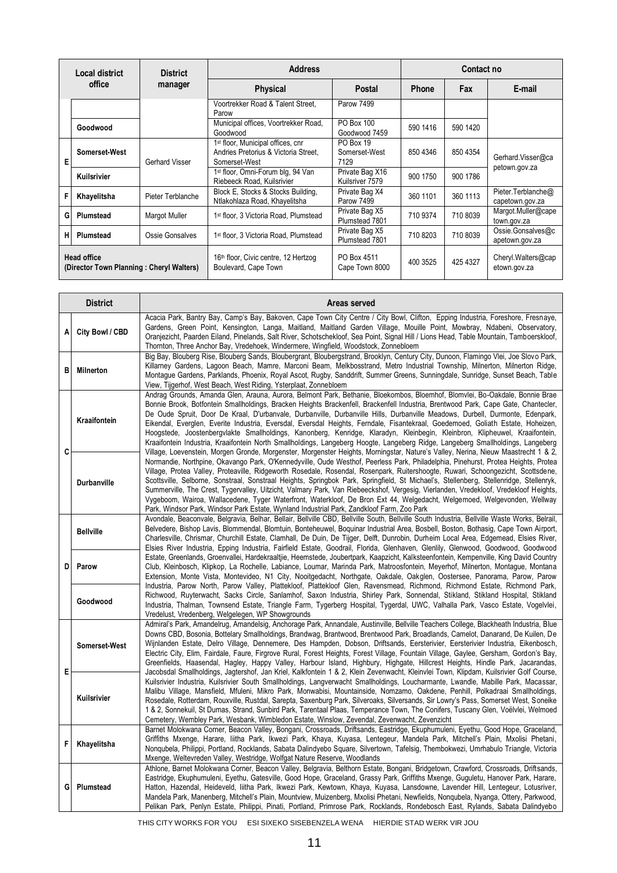|                                                                | Local district | <b>District</b>   | <b>Address</b>                                                                                         |                                    | Contact no |          |                                       |  |
|----------------------------------------------------------------|----------------|-------------------|--------------------------------------------------------------------------------------------------------|------------------------------------|------------|----------|---------------------------------------|--|
|                                                                | office         | manager           | <b>Physical</b>                                                                                        | Postal                             | Phone      | Fax      | E-mail                                |  |
|                                                                |                |                   | Voortrekker Road & Talent Street,<br>Parow                                                             | Parow 7499                         |            |          |                                       |  |
|                                                                | Goodwood       |                   | Municipal offices, Voortrekker Road,<br>Goodwood                                                       | PO Box 100<br>Goodwood 7459        | 590 1416   | 590 1420 |                                       |  |
| Е                                                              | Somerset-West  | Gerhard Visser    | 1 <sup>st</sup> floor, Municipal offices, cnr<br>Andries Pretorius & Victoria Street.<br>Somerset-West | PO Box 19<br>Somerset-West<br>7129 | 850 4346   | 850 4354 | Gerhard Visser@ca                     |  |
|                                                                | Kuilsrivier    |                   | 1 <sup>st</sup> floor, Omni-Forum blg, 94 Van<br>Riebeeck Road, Kuilsrivier                            | Private Bag X16<br>Kuilsriver 7579 | 900 1750   | 900 1786 | petown.gov.za                         |  |
|                                                                | Khayelitsha    | Pieter Terblanche | Block E. Stocks & Stocks Building.<br>Ntlakohlaza Road, Khayelitsha                                    | Private Bag X4<br>Parow 7499       | 360 1101   | 360 1113 | Pieter Terblanche@<br>capetown.gov.za |  |
| G                                                              | Plumstead      | Margot Muller     | 1st floor, 3 Victoria Road, Plumstead                                                                  | Private Bag X5<br>Plumstead 7801   | 710 9374   | 710 8039 | Margot.Muller@cape<br>town.gov.za     |  |
| н                                                              | Plumstead      | Ossie Gonsalves   | 1 <sup>st</sup> floor, 3 Victoria Road, Plumstead                                                      | Private Bag X5<br>Plumstead 7801   | 710 8203   | 710 8039 | Ossie.Gonsalves@c<br>apetown.gov.za   |  |
| <b>Head office</b><br>(Director Town Planning: Cheryl Walters) |                |                   | 16th floor, Civic centre, 12 Hertzog<br>Boulevard, Cape Town                                           | PO Box 4511<br>Cape Town 8000      | 400 3525   | 425 4327 | Cheryl Walters@cap<br>etown.gov.za    |  |

|   | <b>District</b>    | Areas served                                                                                                                                                                                                                                                                                                                                                                                                                                                                                                                                                                                                                                                                                                                                                                                                                                                                                                                                   |  |  |  |  |  |
|---|--------------------|------------------------------------------------------------------------------------------------------------------------------------------------------------------------------------------------------------------------------------------------------------------------------------------------------------------------------------------------------------------------------------------------------------------------------------------------------------------------------------------------------------------------------------------------------------------------------------------------------------------------------------------------------------------------------------------------------------------------------------------------------------------------------------------------------------------------------------------------------------------------------------------------------------------------------------------------|--|--|--|--|--|
| A | City Bowl / CBD    | Acacia Park, Bantry Bay, Camp's Bay, Bakoven, Cape Town City Centre / City Bowl, Clifton, Epping Industria, Foreshore, Fresnaye,<br>Gardens, Green Point, Kensington, Langa, Maitland, Maitland Garden Village, Mouille Point, Mowbray, Ndabeni, Observatory,<br>Oranjezicht, Paarden Eiland, Pinelands, Salt River, Schotschekloof, Sea Point, Signal Hill / Lions Head, Table Mountain, Tamboerskloof,<br>Thornton, Three Anchor Bay, Vredehoek, Windermere, Wingfield, Woodstock, Zonnebloem                                                                                                                                                                                                                                                                                                                                                                                                                                                |  |  |  |  |  |
| в | <b>Milnerton</b>   | Big Bay, Blouberg Rise, Blouberg Sands, Bloubergrant, Bloubergstrand, Brooklyn, Century City, Dunoon, Flamingo Vlei, Joe Slovo Park,<br>Killarney Gardens, Lagoon Beach, Mamre, Marconi Beam, Melkbosstrand, Metro Industrial Township, Milnerton, Milnerton Ridge,<br>Montague Gardens, Parklands, Phoenix, Royal Ascot, Rugby, Sanddrift, Summer Greens, Sunningdale, Sunridge, Sunset Beach, Table<br>View, Tijgerhof, West Beach, West Riding, Ysterplaat, Zonnebloem                                                                                                                                                                                                                                                                                                                                                                                                                                                                      |  |  |  |  |  |
| C | Kraaifontein       | Andrag Grounds, Amanda Glen, Arauna, Aurora, Belmont Park, Bethanie, Bloekombos, Bloemhof, Blomvlei, Bo-Oakdale, Bonnie Brae<br>Bonnie Brook, Botfontein Smallholdings, Bracken Heights Brackenfell, Brackenfell Industria, Brentwood Park, Cape Gate, Chantecler,<br>De Oude Spruit, Door De Kraal, D'urbanvale, Durbanville, Durbanville Hills, Durbanville Meadows, Durbell, Durmonte, Edenpark,<br>Eikendal, Everglen, Everite Industria, Eversdal, Eversdal Heights, Ferndale, Fisantekraal, Goedemoed, Goliath Estate, Hoheizen,<br>Hoogstede, Joostenbergvlakte Smallholdings, Kanonberg, Kenridge, Klaradyn, Kleinbegin, Kleinbron, Klipheuwel, Kraaifontein,<br>Kraaifontein Industria, Kraaifontein North Smallholdings, Langeberg Hoogte, Langeberg Ridge, Langeberg Smallholdings, Langeberg<br>Village, Loevenstein, Morgen Gronde, Morgenster, Morgenster Heights, Morningstar, Nature's Valley, Nerina, Nieuw Maastrecht 1 & 2, |  |  |  |  |  |
|   | <b>Durbanville</b> | Normandie, Northpine, Okavango Park, O'Kennedyville, Oude Westhof, Peerless Park, Philadelphia, Pinehurst, Protea Heights, Protea<br>Village, Protea Valley, Proteaville, Ridgeworth Rosedale, Rosendal, Rosenpark, Ruitershoogte, Ruwari, Schoongezicht, Scottsdene,<br>Scottsville, Selborne, Sonstraal, Sonstraal Heights, Springbok Park, Springfield, St Michael's, Stellenberg, Stellenridge, Stellenryk,<br>Summerville, The Crest, Tygervalley, Uitzicht, Valmary Park, Van Riebeeckshof, Vergesig, Vierlanden, Vredekloof, Vredekloof Heights,<br>Vygeboom, Wairoa, Wallacedene, Tyger Waterfront, Waterkloof, De Bron Ext 44, Welgedacht, Welgemoed, Welgevonden, Wellway<br>Park, Windsor Park, Windsor Park Estate, Wynland Industrial Park, Zandkloof Farm, Zoo Park                                                                                                                                                              |  |  |  |  |  |
|   | <b>Bellville</b>   | Avondale, Beaconvale, Belgravia, Belhar, Bellair, Bellville CBD, Bellville South, Bellville South Industria, Bellville Waste Works, Belrail,<br>Belvedere, Bishop Lavis, Blommendal, Blomtuin, Bonteheuwel, Boquinar Industrial Area, Bosbell, Boston, Bothasig, Cape Town Airport,<br>Charlesville, Chrismar, Churchill Estate, Clamhall, De Duin, De Tijger, Delft, Dunrobin, Durheim Local Area, Edgemead, Elsies River,<br>Elsies River Industria, Epping Industria, Fairfield Estate, Goodrail, Florida, Glenhaven, Glenlily, Glenwood, Goodwood, Goodwood                                                                                                                                                                                                                                                                                                                                                                                |  |  |  |  |  |
| D | Parow              | Estate, Greenlands, Groenvallei, Hardekraaltjie, Heemstede, Joubertpark, Kaapzicht, Kalksteenfontein, Kempenville, King David Country<br>Club, Kleinbosch, Klipkop, La Rochelle, Labiance, Loumar, Marinda Park, Matroosfontein, Meyerhof, Milnerton, Montague, Montana<br>Extension, Monte Vista, Montevideo, N1 City, Nooitgedacht, Northgate, Oakdale, Oakglen, Oostersee, Panorama, Parow, Parow                                                                                                                                                                                                                                                                                                                                                                                                                                                                                                                                           |  |  |  |  |  |
|   | Goodwood           | Industria, Parow North, Parow Valley, Plattekloof, Plattekloof Glen, Ravensmead, Richmond, Richmond Estate, Richmond Park,<br>Richwood, Ruyterwacht, Sacks Circle, Sanlamhof, Saxon Industria, Shirley Park, Sonnendal, Stikland, Stikland Hospital, Stikland<br>Industria, Thalman, Townsend Estate, Triangle Farm, Tygerberg Hospital, Tygerdal, UWC, Valhalla Park, Vasco Estate, Vogelvlei,<br>Vredelust, Vredenberg, Welgelegen, WP Showgrounds                                                                                                                                                                                                                                                                                                                                                                                                                                                                                           |  |  |  |  |  |
|   | Somerset-West      | Admiral's Park, Amandelrug, Amandelsig, Anchorage Park, Annandale, Austinville, Bellville Teachers College, Blackheath Industria, Blue<br>Downs CBD, Bosonia, Bottelary Smallholdings, Brandwag, Brantwood, Brentwood Park, Broadlands, Camelot, Danarand, De Kuilen, De<br>Wijnlanden Estate, Delro Village, Dennemere, Des Hampden, Dobson, Driftsands, Eersterivier, Eersterivier Industria, Eikenbosch,<br>Electric City, Elim, Fairdale, Faure, Firgrove Rural, Forest Heights, Forest Village, Fountain Village, Gaylee, Gersham, Gordon's Bay,<br>Greenfields, Haasendal, Hagley, Happy Valley, Harbour Island, Highbury, Highgate, Hillcrest Heights, Hindle Park, Jacarandas,                                                                                                                                                                                                                                                         |  |  |  |  |  |
| E | Kuilsrivier        | Jacobsdal Smallholdings, Jagtershof, Jan Kriel, Kalkfontein 1 & 2, Klein Zevenwacht, Kleinvlei Town, Klipdam, Kuilsrivier Golf Course,<br>Kuilsrivier Industria, Kuilsrivier South Smallholdings, Langverwacht Smallholdings, Loucharmante, Lwandle, Mabille Park, Macassar,<br>Malibu Village, Mansfield, Mfuleni, Mikro Park, Monwabisi, Mountainside, Nomzamo, Oakdene, Penhill, Polkadraai Smallholdings,<br>Rosedale, Rotterdam, Rouxville, Rustdal, Sarepta, Saxenburg Park, Silveroaks, Silversands, Sir Lowry's Pass, Somerset West, Soneike<br>1 & 2, Sonnekuil, St Dumas, Strand, Sunbird Park, Tarentaal Plaas, Temperance Town, The Conifers, Tuscany Glen, Voëlvlei, Welmoed<br>Cemetery, Wembley Park, Wesbank, Wimbledon Estate, Winslow, Zevendal, Zevenwacht, Zevenzicht                                                                                                                                                      |  |  |  |  |  |
| F | Khayelitsha        | Barnet Molokwana Corner, Beacon Valley, Bongani, Crossroads, Driftsands, Eastridge, Ekuphumuleni, Eyethu, Good Hope, Graceland,<br>Griffiths Mxenge, Harare, liitha Park, Ikwezi Park, Khaya, Kuyasa, Lentegeur, Mandela Park, Mitchell's Plain, Mxolisi Phetani,<br>Nonqubela, Philippi, Portland, Rocklands, Sabata Dalindyebo Square, Silvertown, Tafelsig, Thembokwezi, Umrhabulo Triangle, Victoria<br>Mxenge, Weltevreden Valley, Westridge, Wolfgat Nature Reserve, Woodlands                                                                                                                                                                                                                                                                                                                                                                                                                                                           |  |  |  |  |  |
| G | Plumstead          | Athlone, Barnet Molokwana Corner, Beacon Valley, Belgravia, Belthorn Estate, Bongani, Bridgetown, Crawford, Crossroads, Driftsands,<br>Eastridge, Ekuphumuleni, Eyethu, Gatesville, Good Hope, Graceland, Grassy Park, Griffiths Mxenge, Guguletu, Hanover Park, Harare,<br>Hatton, Hazendal, Heideveld, liitha Park, Ikwezi Park, Kewtown, Khaya, Kuyasa, Lansdowne, Lavender Hill, Lentegeur, Lotusriver,<br>Mandela Park, Manenberg, Mitchell's Plain, Mountview, Muizenberg, Mxolisi Phetani, Newfields, Nongubela, Nyanga, Ottery, Parkwood,<br>Pelikan Park, Penlyn Estate, Philippi, Pinati, Portland, Primrose Park, Rocklands, Rondebosch East, Rylands, Sabata Dalindyebo                                                                                                                                                                                                                                                            |  |  |  |  |  |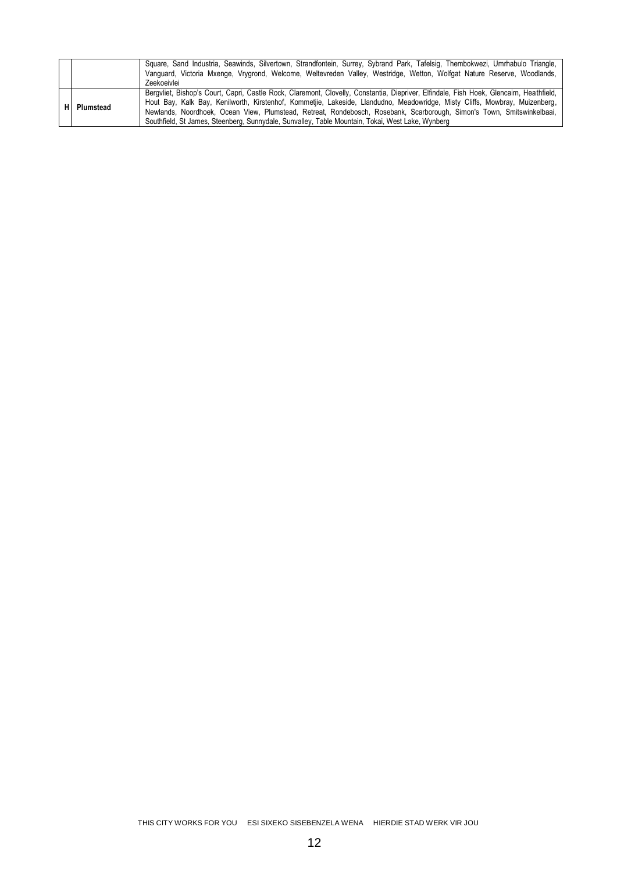|    |           | Square, Sand Industria, Seawinds, Silvertown, Strandfontein, Surrey, Sybrand Park, Tafelsig, Thembokwezi, Umrhabulo Triangle,<br>Vanguard, Victoria Mxenge, Vrygrond, Welcome, Weltevreden Valley, Westridge, Wetton, Wolfgat Nature Reserve, Woodlands,<br>Zeekoeivlei                                                                                                                                                                                                                              |
|----|-----------|------------------------------------------------------------------------------------------------------------------------------------------------------------------------------------------------------------------------------------------------------------------------------------------------------------------------------------------------------------------------------------------------------------------------------------------------------------------------------------------------------|
| нι | Plumstead | Bergyliet, Bishop's Court, Capri, Castle Rock, Claremont, Clovelly, Constantia, Diepriver, Elfindale, Fish Hoek, Glencairn, Heathfield,<br>Hout Bay, Kalk Bay, Kenilworth, Kirstenhof, Kommetjie, Lakeside, Llandudno, Meadowridge, Misty Cliffs, Mowbray, Muizenberg,<br>Newlands, Noordhoek, Ocean View, Plumstead, Retreat, Rondebosch, Rosebank, Scarborough, Simon's Town, Smitswinkelbaai,<br>Southfield, St James, Steenberg, Sunnydale, Sunvalley, Table Mountain, Tokai, West Lake, Wynberg |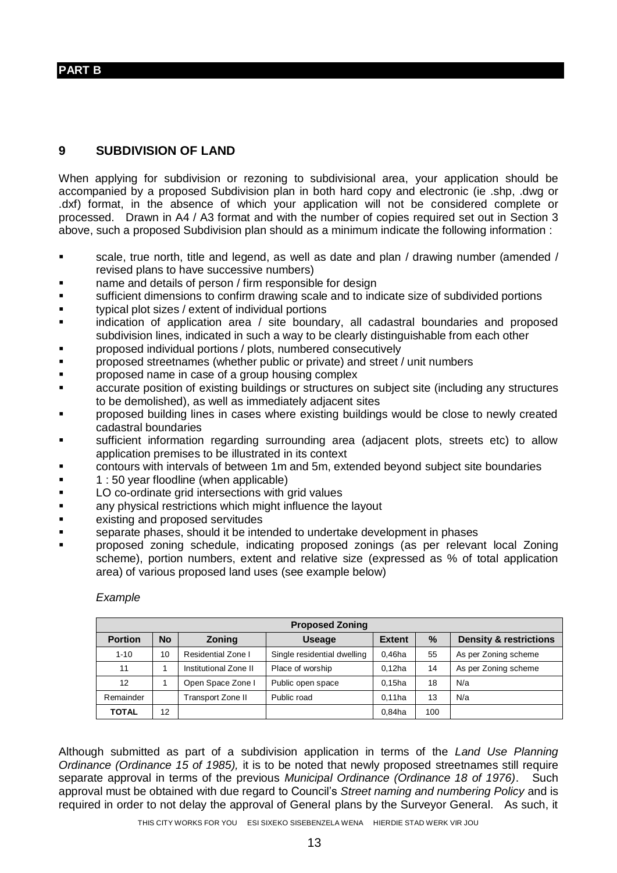#### **PART B**

### **9 SUBDIVISION OF LAND**

When applying for subdivision or rezoning to subdivisional area, your application should be accompanied by a proposed Subdivision plan in both hard copy and electronic (ie .shp, .dwg or .dxf) format, in the absence of which your application will not be considered complete or processed. Drawn in A4 / A3 format and with the number of copies required set out in Section 3 above, such a proposed Subdivision plan should as a minimum indicate the following information :

- scale, true north, title and legend, as well as date and plan / drawing number (amended / revised plans to have successive numbers)
- name and details of person / firm responsible for design
- sufficient dimensions to confirm drawing scale and to indicate size of subdivided portions
- **typical plot sizes / extent of individual portions**
- indication of application area / site boundary, all cadastral boundaries and proposed subdivision lines, indicated in such a way to be clearly distinguishable from each other
- **Proposed individual portions / plots, numbered consecutively**
- proposed streetnames (whether public or private) and street / unit numbers
- **Part Exercise of a group housing complex**
- accurate position of existing buildings or structures on subject site (including any structures to be demolished), as well as immediately adjacent sites
- proposed building lines in cases where existing buildings would be close to newly created cadastral boundaries
- sufficient information regarding surrounding area (adjacent plots, streets etc) to allow application premises to be illustrated in its context
- contours with intervals of between 1m and 5m, extended beyond subject site boundaries
- **1** : 50 year floodline (when applicable)
- **LO** co-ordinate grid intersections with grid values
- **Example 2** any physical restrictions which might influence the layout
- **EXISTING AND EXISTING AND READ EXISTING AND READ EXISTING SET AND READ EXISTING SET AND READ EXISTING SET AND READ EXISTING SET AND READ EXISTING SET AND READ EXISTING SET AND READ EXISTING SET AND READ EXISTING SET AND R**
- separate phases, should it be intended to undertake development in phases
- proposed zoning schedule, indicating proposed zonings (as per relevant local Zoning scheme), portion numbers, extent and relative size (expressed as % of total application area) of various proposed land uses (see example below)

#### *Example*

|                             | <b>Proposed Zoning</b>                                               |                    |                             |           |                      |                      |  |  |  |  |
|-----------------------------|----------------------------------------------------------------------|--------------------|-----------------------------|-----------|----------------------|----------------------|--|--|--|--|
| <b>Portion</b>              | $\%$<br><b>No</b><br><b>Extent</b><br><b>Zoning</b><br><b>Useage</b> |                    |                             |           |                      |                      |  |  |  |  |
| $1 - 10$                    | 10                                                                   | Residential Zone I | Single residential dwelling | $0,46$ ha | 55                   | As per Zoning scheme |  |  |  |  |
| 11<br>Institutional Zone II |                                                                      | Place of worship   | $0.12$ ha                   | 14        | As per Zoning scheme |                      |  |  |  |  |
| 12                          | Open Space Zone I                                                    |                    | Public open space           | $0.15$ ha | 18                   | N/a                  |  |  |  |  |
| Remainder                   |                                                                      | Transport Zone II  | Public road                 | $0.11$ ha | 13                   | N/a                  |  |  |  |  |
| <b>TOTAL</b>                | 12                                                                   |                    |                             | 0.84ha    | 100                  |                      |  |  |  |  |

Although submitted as part of a subdivision application in terms of the *Land Use Planning Ordinance (Ordinance 15 of 1985),* it is to be noted that newly proposed streetnames still require separate approval in terms of the previous *Municipal Ordinance (Ordinance 18 of 1976)*. Such approval must be obtained with due regard to Council's *Street naming and numbering Policy* and is required in order to not delay the approval of General plans by the Surveyor General. As such, it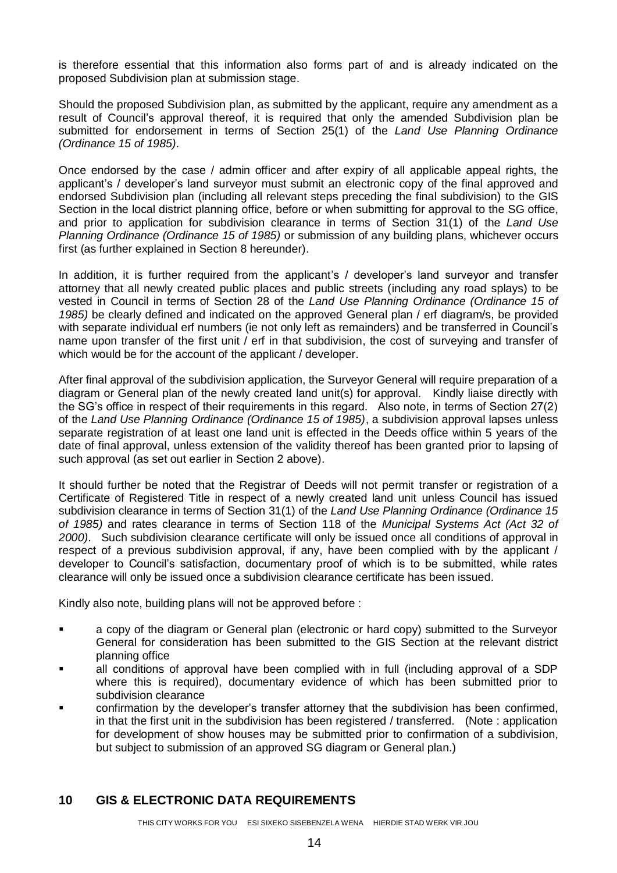is therefore essential that this information also forms part of and is already indicated on the proposed Subdivision plan at submission stage.

Should the proposed Subdivision plan, as submitted by the applicant, require any amendment as a result of Council's approval thereof, it is required that only the amended Subdivision plan be submitted for endorsement in terms of Section 25(1) of the *Land Use Planning Ordinance (Ordinance 15 of 1985)*.

Once endorsed by the case / admin officer and after expiry of all applicable appeal rights, the applicant's / developer's land surveyor must submit an electronic copy of the final approved and endorsed Subdivision plan (including all relevant steps preceding the final subdivision) to the GIS Section in the local district planning office, before or when submitting for approval to the SG office, and prior to application for subdivision clearance in terms of Section 31(1) of the *Land Use Planning Ordinance (Ordinance 15 of 1985)* or submission of any building plans, whichever occurs first (as further explained in Section 8 hereunder).

In addition, it is further required from the applicant's / developer's land surveyor and transfer attorney that all newly created public places and public streets (including any road splays) to be vested in Council in terms of Section 28 of the *Land Use Planning Ordinance (Ordinance 15 of 1985)* be clearly defined and indicated on the approved General plan / erf diagram/s, be provided with separate individual erf numbers (ie not only left as remainders) and be transferred in Council's name upon transfer of the first unit / erf in that subdivision, the cost of surveying and transfer of which would be for the account of the applicant / developer.

After final approval of the subdivision application, the Surveyor General will require preparation of a diagram or General plan of the newly created land unit(s) for approval. Kindly liaise directly with the SG's office in respect of their requirements in this regard. Also note, in terms of Section 27(2) of the *Land Use Planning Ordinance (Ordinance 15 of 1985)*, a subdivision approval lapses unless separate registration of at least one land unit is effected in the Deeds office within 5 years of the date of final approval, unless extension of the validity thereof has been granted prior to lapsing of such approval (as set out earlier in Section 2 above).

It should further be noted that the Registrar of Deeds will not permit transfer or registration of a Certificate of Registered Title in respect of a newly created land unit unless Council has issued subdivision clearance in terms of Section 31(1) of the *Land Use Planning Ordinance (Ordinance 15 of 1985)* and rates clearance in terms of Section 118 of the *Municipal Systems Act (Act 32 of 2000)*. Such subdivision clearance certificate will only be issued once all conditions of approval in respect of a previous subdivision approval, if any, have been complied with by the applicant / developer to Council's satisfaction, documentary proof of which is to be submitted, while rates clearance will only be issued once a subdivision clearance certificate has been issued.

Kindly also note, building plans will not be approved before :

- a copy of the diagram or General plan (electronic or hard copy) submitted to the Surveyor General for consideration has been submitted to the GIS Section at the relevant district planning office
- all conditions of approval have been complied with in full (including approval of a SDP where this is required), documentary evidence of which has been submitted prior to subdivision clearance
- confirmation by the developer's transfer attorney that the subdivision has been confirmed, in that the first unit in the subdivision has been registered / transferred. (Note : application for development of show houses may be submitted prior to confirmation of a subdivision, but subject to submission of an approved SG diagram or General plan.)

#### **10 GIS & ELECTRONIC DATA REQUIREMENTS**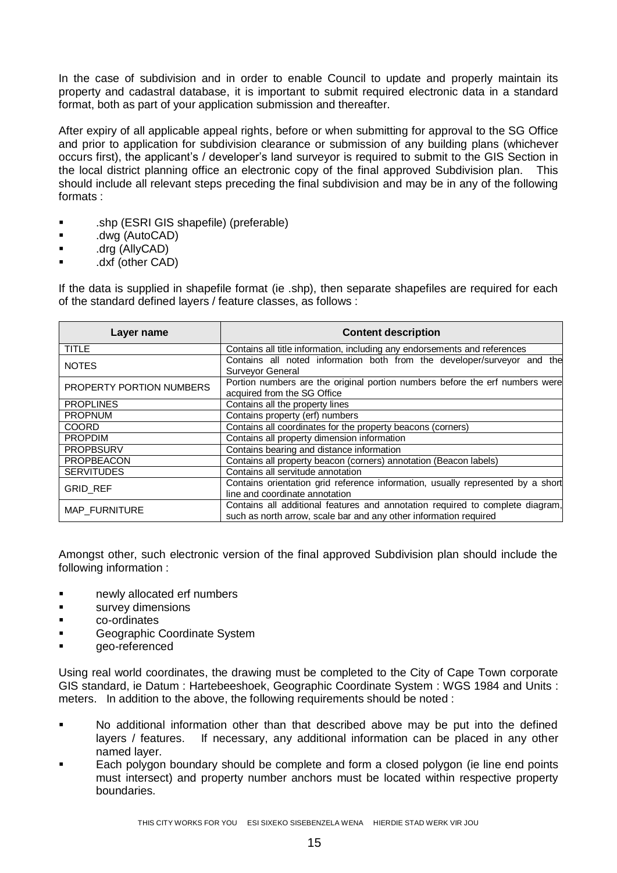In the case of subdivision and in order to enable Council to update and properly maintain its property and cadastral database, it is important to submit required electronic data in a standard format, both as part of your application submission and thereafter.

After expiry of all applicable appeal rights, before or when submitting for approval to the SG Office and prior to application for subdivision clearance or submission of any building plans (whichever occurs first), the applicant's / developer's land surveyor is required to submit to the GIS Section in the local district planning office an electronic copy of the final approved Subdivision plan. This should include all relevant steps preceding the final subdivision and may be in any of the following formats :

- .shp (ESRI GIS shapefile) (preferable)
- .dwg (AutoCAD)
- .drg (AllyCAD)
- .dxf (other CAD)

If the data is supplied in shapefile format (ie .shp), then separate shapefiles are required for each of the standard defined layers / feature classes, as follows :

| Layer name               | <b>Content description</b>                                                                                                                         |
|--------------------------|----------------------------------------------------------------------------------------------------------------------------------------------------|
| <b>TITLE</b>             | Contains all title information, including any endorsements and references                                                                          |
| <b>NOTES</b>             | Contains all noted information both from the developer/surveyor and the<br>Surveyor General                                                        |
| PROPERTY PORTION NUMBERS | Portion numbers are the original portion numbers before the erf numbers were<br>acquired from the SG Office                                        |
| <b>PROPLINES</b>         | Contains all the property lines                                                                                                                    |
| <b>PROPNUM</b>           | Contains property (erf) numbers                                                                                                                    |
| <b>COORD</b>             | Contains all coordinates for the property beacons (corners)                                                                                        |
| <b>PROPDIM</b>           | Contains all property dimension information                                                                                                        |
| <b>PROPBSURV</b>         | Contains bearing and distance information                                                                                                          |
| <b>PROPBEACON</b>        | Contains all property beacon (corners) annotation (Beacon labels)                                                                                  |
| <b>SERVITUDES</b>        | Contains all servitude annotation                                                                                                                  |
| <b>GRID REF</b>          | Contains orientation grid reference information, usually represented by a short                                                                    |
|                          | line and coordinate annotation                                                                                                                     |
| <b>MAP FURNITURE</b>     | Contains all additional features and annotation required to complete diagram,<br>such as north arrow, scale bar and any other information required |
|                          |                                                                                                                                                    |

Amongst other, such electronic version of the final approved Subdivision plan should include the following information :

- newly allocated erf numbers
- **survey dimensions**
- co-ordinates
- **Example Coordinate System**
- geo-referenced

Using real world coordinates, the drawing must be completed to the City of Cape Town corporate GIS standard, ie Datum : Hartebeeshoek, Geographic Coordinate System : WGS 1984 and Units : meters. In addition to the above, the following requirements should be noted :

- No additional information other than that described above may be put into the defined layers / features. If necessary, any additional information can be placed in any other named layer.
- Each polygon boundary should be complete and form a closed polygon (ie line end points must intersect) and property number anchors must be located within respective property boundaries.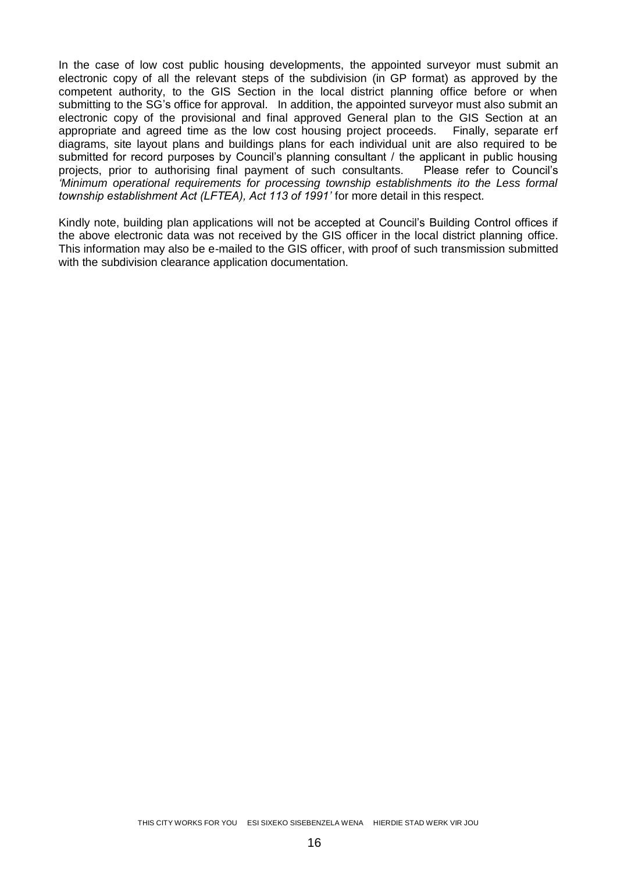In the case of low cost public housing developments, the appointed surveyor must submit an electronic copy of all the relevant steps of the subdivision (in GP format) as approved by the competent authority, to the GIS Section in the local district planning office before or when submitting to the SG's office for approval. In addition, the appointed surveyor must also submit an electronic copy of the provisional and final approved General plan to the GIS Section at an appropriate and agreed time as the low cost housing project proceeds. Finally, separate erf diagrams, site layout plans and buildings plans for each individual unit are also required to be submitted for record purposes by Council's planning consultant / the applicant in public housing projects, prior to authorising final payment of such consultants. Please refer to Council's *'Minimum operational requirements for processing township establishments ito the Less formal township establishment Act (LFTEA), Act 113 of 1991'* for more detail in this respect.

Kindly note, building plan applications will not be accepted at Council's Building Control offices if the above electronic data was not received by the GIS officer in the local district planning office. This information may also be e-mailed to the GIS officer, with proof of such transmission submitted with the subdivision clearance application documentation.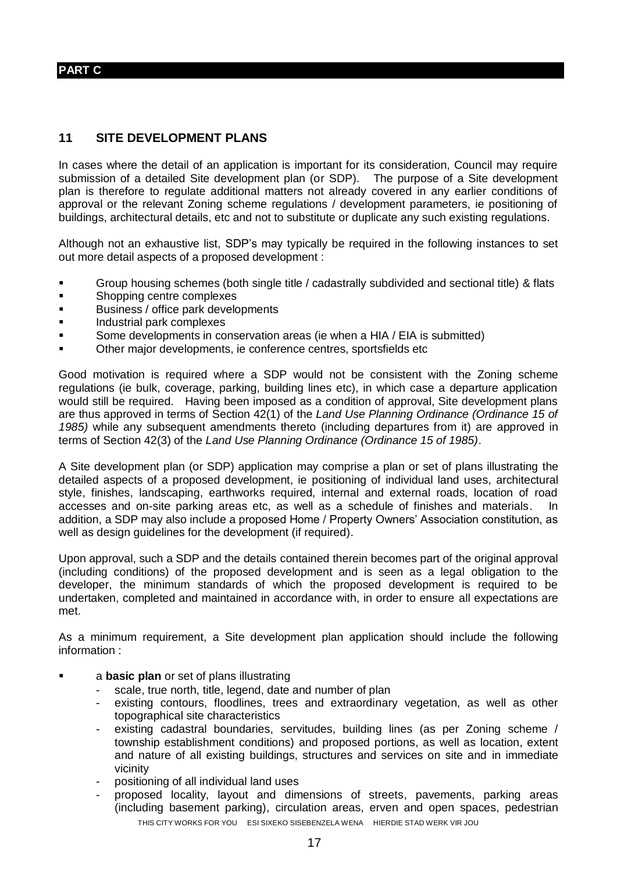#### **PART C**

#### **11 SITE DEVELOPMENT PLANS**

In cases where the detail of an application is important for its consideration, Council may require submission of a detailed Site development plan (or SDP). The purpose of a Site development plan is therefore to regulate additional matters not already covered in any earlier conditions of approval or the relevant Zoning scheme regulations / development parameters, ie positioning of buildings, architectural details, etc and not to substitute or duplicate any such existing regulations.

Although not an exhaustive list, SDP's may typically be required in the following instances to set out more detail aspects of a proposed development :

- Group housing schemes (both single title / cadastrally subdivided and sectional title) & flats
- **Shopping centre complexes**
- Business / office park developments
- **Industrial park complexes**
- Some developments in conservation areas (ie when a HIA / EIA is submitted)
- Other major developments, ie conference centres, sportsfields etc

Good motivation is required where a SDP would not be consistent with the Zoning scheme regulations (ie bulk, coverage, parking, building lines etc), in which case a departure application would still be required. Having been imposed as a condition of approval, Site development plans are thus approved in terms of Section 42(1) of the *Land Use Planning Ordinance (Ordinance 15 of 1985)* while any subsequent amendments thereto (including departures from it) are approved in terms of Section 42(3) of the *Land Use Planning Ordinance (Ordinance 15 of 1985)*.

A Site development plan (or SDP) application may comprise a plan or set of plans illustrating the detailed aspects of a proposed development, ie positioning of individual land uses, architectural style, finishes, landscaping, earthworks required, internal and external roads, location of road accesses and on-site parking areas etc, as well as a schedule of finishes and materials. In addition, a SDP may also include a proposed Home / Property Owners' Association constitution, as well as design guidelines for the development (if required).

Upon approval, such a SDP and the details contained therein becomes part of the original approval (including conditions) of the proposed development and is seen as a legal obligation to the developer, the minimum standards of which the proposed development is required to be undertaken, completed and maintained in accordance with, in order to ensure all expectations are met.

As a minimum requirement, a Site development plan application should include the following information :

- a **basic plan** or set of plans illustrating
	- scale, true north, title, legend, date and number of plan
	- existing contours, floodlines, trees and extraordinary vegetation, as well as other topographical site characteristics
	- existing cadastral boundaries, servitudes, building lines (as per Zoning scheme / township establishment conditions) and proposed portions, as well as location, extent and nature of all existing buildings, structures and services on site and in immediate vicinity
	- positioning of all individual land uses
	- THIS CITY WORKS FOR YOU ESI SIXEKO SISEBENZELA WENA HIERDIE STAD WERK VIR JOU proposed locality, layout and dimensions of streets, pavements, parking areas (including basement parking), circulation areas, erven and open spaces, pedestrian